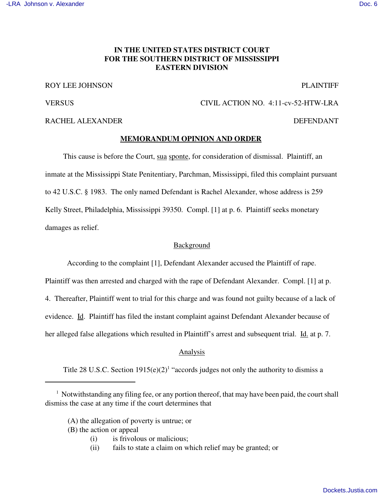# **IN THE UNITED STATES DISTRICT COURT FOR THE SOUTHERN DISTRICT OF MISSISSIPPI EASTERN DIVISION**

## ROY LEE JOHNSON PLAINTIFF

VERSUS CIVIL ACTION NO. 4:11-cv-52-HTW-LRA

## RACHEL ALEXANDER DEFENDANT

#### **MEMORANDUM OPINION AND ORDER**

This cause is before the Court, sua sponte, for consideration of dismissal. Plaintiff, an inmate at the Mississippi State Penitentiary, Parchman, Mississippi, filed this complaint pursuant to 42 U.S.C. § 1983. The only named Defendant is Rachel Alexander, whose address is 259 Kelly Street, Philadelphia, Mississippi 39350. Compl. [1] at p. 6. Plaintiff seeks monetary damages as relief.

#### Background

According to the complaint [1], Defendant Alexander accused the Plaintiff of rape.

Plaintiff was then arrested and charged with the rape of Defendant Alexander. Compl. [1] at p.

4. Thereafter, Plaintiff went to trial for this charge and was found not guilty because of a lack of

evidence. Id. Plaintiff has filed the instant complaint against Defendant Alexander because of

her alleged false allegations which resulted in Plaintiff's arrest and subsequent trial. Id. at p. 7.

### Analysis

Title 28 U.S.C. Section  $1915(e)(2)^1$  "accords judges not only the authority to dismiss a

- (B) the action or appeal
	- (i) is frivolous or malicious;
	- (ii) fails to state a claim on which relief may be granted; or

<sup>&</sup>lt;sup>1</sup> Notwithstanding any filing fee, or any portion thereof, that may have been paid, the court shall dismiss the case at any time if the court determines that

<sup>(</sup>A) the allegation of poverty is untrue; or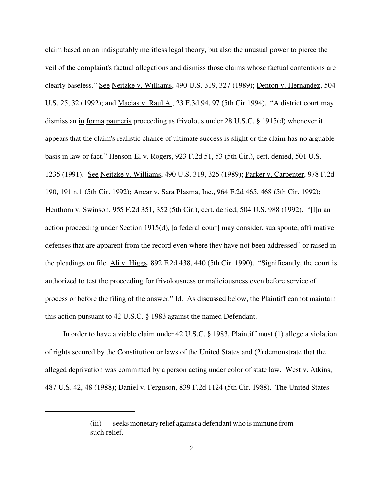claim based on an indisputably meritless legal theory, but also the unusual power to pierce the veil of the complaint's factual allegations and dismiss those claims whose factual contentions are clearly baseless." See Neitzke v. Williams, 490 U.S. 319, 327 (1989); Denton v. Hernandez, 504 U.S. 25, 32 (1992); and Macias v. Raul A., 23 F.3d 94, 97 (5th Cir.1994). "A district court may dismiss an in forma pauperis proceeding as frivolous under 28 U.S.C. § 1915(d) whenever it appears that the claim's realistic chance of ultimate success is slight or the claim has no arguable basis in law or fact." Henson-El v. Rogers, 923 F.2d 51, 53 (5th Cir.), cert. denied, 501 U.S. 1235 (1991). See Neitzke v. Williams, 490 U.S. 319, 325 (1989); Parker v. Carpenter, 978 F.2d 190, 191 n.1 (5th Cir. 1992); Ancar v. Sara Plasma, Inc., 964 F.2d 465, 468 (5th Cir. 1992); Henthorn v. Swinson, 955 F.2d 351, 352 (5th Cir.), cert. denied, 504 U.S. 988 (1992). "[I]n an action proceeding under Section 1915(d), [a federal court] may consider, sua sponte, affirmative defenses that are apparent from the record even where they have not been addressed" or raised in the pleadings on file. Ali v. Higgs, 892 F.2d 438, 440 (5th Cir. 1990). "Significantly, the court is authorized to test the proceeding for frivolousness or maliciousness even before service of process or before the filing of the answer." Id. As discussed below, the Plaintiff cannot maintain this action pursuant to 42 U.S.C. § 1983 against the named Defendant.

In order to have a viable claim under 42 U.S.C. § 1983, Plaintiff must (1) allege a violation of rights secured by the Constitution or laws of the United States and (2) demonstrate that the alleged deprivation was committed by a person acting under color of state law. West v. Atkins, 487 U.S. 42, 48 (1988); Daniel v. Ferguson, 839 F.2d 1124 (5th Cir. 1988). The United States

<sup>(</sup>iii) seeks monetary relief against a defendant who is immune from such relief.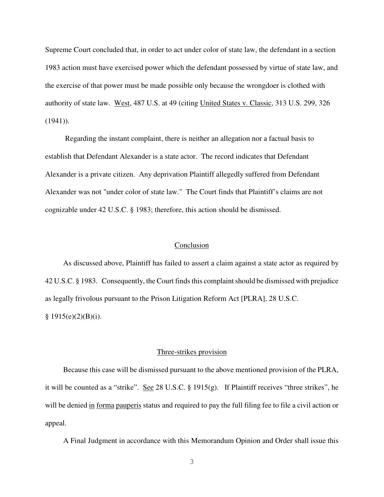Supreme Court concluded that, in order to act under color of state law, the defendant in a section 1983 action must have exercised power which the defendant possessed by virtue of state law, and the exercise of that power must be made possible only because the wrongdoer is clothed with authority of state law. West, 487 U.S. at 49 (citing United States v. Classic, 313 U.S. 299, 326 (1941)).

Regarding the instant complaint, there is neither an allegation nor a factual basis to establish that Defendant Alexander is a state actor. The record indicates that Defendant Alexander is a private citizen. Any deprivation Plaintiff allegedly suffered from Defendant Alexander was not "under color of state law." The Court finds that Plaintiff's claims are not cognizable under 42 U.S.C. § 1983; therefore, this action should be dismissed.

#### Conclusion

As discussed above, Plaintiff has failed to assert a claim against a state actor as required by 42 U.S.C. § 1983. Consequently, the Court finds this complaint should be dismissed with prejudice as legally frivolous pursuant to the Prison Litigation Reform Act [PLRA], 28 U.S.C.  $§ 1915(e)(2)(B)(i).$ 

#### Three-strikes provision

Because this case will be dismissed pursuant to the above mentioned provision of the PLRA, it will be counted as a "strike". See 28 U.S.C. § 1915(g). If Plaintiff receives "three strikes", he will be denied in forma pauperis status and required to pay the full filing fee to file a civil action or appeal.

A Final Judgment in accordance with this Memorandum Opinion and Order shall issue this

3